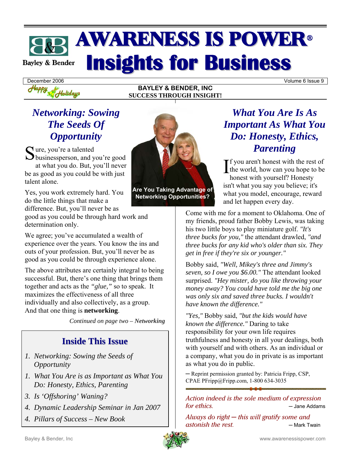# **AWARENESS IS POWER® Insights for Business Bayley & Bender**

**BAYLEY & BENDER, INC SUCCESS THROUGH INSIGHT!** 

December 2006 Volume 6 Issue 9

## *Networking: Sowing The Seeds Of Opportunity*

Holidays

Sure, you're a talented<br>
Sbusinessperson, and y  $\bigcup$  businessperson, and you're good at what you do. But, you'll never be as good as you could be with just talent alone.

Yes, you work extremely hard. You do the little things that make a difference. But, you'll never be as

good as you could be through hard work and determination only.

We agree; you've accumulated a wealth of experience over the years. You know the ins and outs of your profession. But, you'll never be as good as you could be through experience alone.

The above attributes are certainly integral to being successful. But, there's one thing that brings them together and acts as the *"glue,"* so to speak. It maximizes the effectiveness of all three individually and also collectively, as a group. And that one thing is **networking**.

*Continued on page two – Networking* 

### **Inside This Issue**

- *1. Networking: Sowing the Seeds of Opportunity*
- *1. What You Are is as Important as What You Do: Honesty, Ethics, Parenting*
- *3. Is 'Offshoring' Waning?*
- *4. Dynamic Leadership Seminar in Jan 2007*
- *4. Pillars of Success New Book*



**Are You Taking Advantage of Networking Opportunities?** 

# *What You Are Is As Important As What You Do: Honesty, Ethics, Parenting*

f you aren't honest with the rest of  $\prod_{\text{the world, how can you hope to be}}$ honest with yourself? Honesty isn't what you say you believe; it's what you model, encourage, reward and let happen every day.

Come with me for a moment to Oklahoma. One of my friends, proud father Bobby Lewis, was taking his two little boys to play miniature golf. *"It's three bucks for you,"* the attendant drawled, *"and three bucks for any kid who's older than six. They get in free if they're six or younger."* 

Bobby said, *"Well, Mikey's three and Jimmy's seven, so I owe you \$6.00."* The attendant looked surprised. *"Hey mister, do you like throwing your money away? You could have told me the big one was only six and saved three bucks. I wouldn't have known the difference."*

*"Yes,"* Bobby said, *"but the kids would have known the difference."* Daring to take responsibility for your own life requires truthfulness and honesty in all your dealings, both with yourself and with others. As an individual or a company, what you do in private is as important as what you do in public.

─ Reprint permission granted by: Patricia Fripp, CSP, CPAE PFripp@Fripp.com, 1-800 634-3035

Action indeed is the sole medium of expression  $\frac{1}{2}$  for ethics.  $\frac{1}{2}$   $\frac{1}{2}$   $\frac{1}{2}$   $\frac{1}{2}$   $\frac{1}{2}$   $\frac{1}{2}$   $\frac{1}{2}$   $\frac{1}{2}$   $\frac{1}{2}$   $\frac{1}{2}$   $\frac{1}{2}$   $\frac{1}{2}$   $\frac{1}{2}$   $\frac{1}{2}$   $\frac{1}{2}$   $\frac{1}{2}$   $\frac{1}{2}$   $\frac{1}{2}$   $\frac{1}{2}$   $\frac{1}{2}$ 

Always do right  $-$  this will gratify some and **b** astonish the rest. **CO —** Mark Twain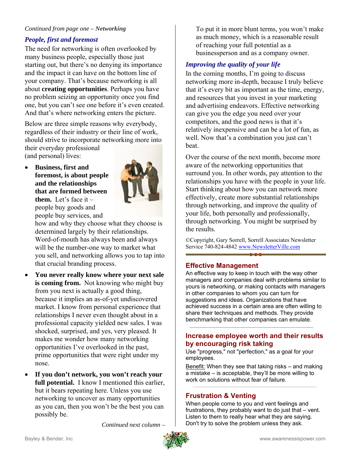#### *Continued from page one – Networking*

#### *People, first and foremost*

The need for networking is often overlooked by many business people, especially those just starting out, but there's no denying its importance and the impact it can have on the bottom line of your company. That's because networking is all about **creating opportunities**. Perhaps you have no problem seizing an opportunity once you find one, but you can't see one before it's even created. And that's where networking enters the picture.

Below are three simple reasons why everybody, regardless of their industry or their line of work, should strive to incorporate networking more into their everyday professional (and personal) lives:

• **Business, first and foremost, is about people and the relationships that are formed between them.** Let's face it – people buy goods and people buy services, and



how and why they choose what they choose is determined largely by their relationships. Word-of-mouth has always been and always will be the number-one way to market what you sell, and networking allows you to tap into that crucial branding process.

- **You never really know where your next sale is coming from.** Not knowing who might buy from you next is actually a good thing, because it implies an as-of-yet undiscovered market. I know from personal experience that relationships I never even thought about in a professional capacity yielded new sales. I was shocked, surprised, and yes, very pleased. It makes me wonder how many networking opportunities I've overlooked in the past, prime opportunities that were right under my nose.
- **If you don't network, you won't reach your full potential.** I know I mentioned this earlier, but it bears repeating here. Unless you use networking to uncover as many opportunities as you can, then you won't be the best you can possibly be.

 *Continued next column –*

To put it in more blunt terms, you won't make as much money, which is a reasonable result of reaching your full potential as a businessperson and as a company owner.

### *Improving the quality of your life*

In the coming months, I'm going to discuss networking more in-depth, because I truly believe that it's every bit as important as the time, energy, and resources that you invest in your marketing and advertising endeavors. Effective networking can give you the edge you need over your competitors, and the good news is that it's relatively inexpensive and can be a lot of fun, as well. Now that's a combination you just can't beat.

Over the course of the next month, become more aware of the networking opportunities that surround you. In other words, pay attention to the relationships you have with the people in your life. Start thinking about how you can network more effectively, create more substantial relationships through networking, and improve the quality of your life, both personally and professionally, through networking. You might be surprised by the results.

©Copyright, Gary Sorrell, Sorrell Associates Newsletter Service 740-824-4842 www.NewsletterVille.com

#### **Effective Management**

An effective way to keep in touch with the way other managers and companies deal with problems similar to yours is networking, or making contacts with managers in other companies to whom you can turn for suggestions and ideas. Organizations that have achieved success in a certain area are often willing to share their techniques and methods. They provide benchmarking that other companies can emulate.

#### **Increase employee worth and their results by encouraging risk taking**

Use "progress," not "perfection," as a goal for your employees.

Benefit: When they see that taking risks – and making a mistake – is acceptable, they'll be more willing to work on solutions without fear of failure.

#### **Frustration & Venting**

When people come to you and vent feelings and frustrations, they probably want to do just that – vent. Listen to them to really hear what they are saying. Don't try to solve the problem unless they ask.

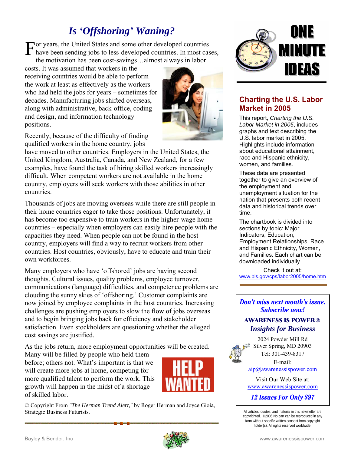# *Is 'Offshoring' Waning?*

For years, the United States and some other developed countries<br>have been sending jobs to less-developed countries. In most cas have been sending jobs to less-developed countries. In most cases, the motivation has been cost-savings…almost always in labor

costs. It was assumed that workers in the receiving countries would be able to perform the work at least as effectively as the workers who had held the jobs for years – sometimes for decades. Manufacturing jobs shifted overseas, along with administrative, back-office, coding and design, and information technology positions.

Recently, because of the difficulty of finding qualified workers in the home country, jobs

have moved to other countries. Employers in the United States, the United Kingdom, Australia, Canada, and New Zealand, for a few examples, have found the task of hiring skilled workers increasingly difficult. When competent workers are not available in the home country, employers will seek workers with those abilities in other countries.

Thousands of jobs are moving overseas while there are still people in their home countries eager to take those positions. Unfortunately, it has become too expensive to train workers in the higher-wage home countries – especially when employers can easily hire people with the capacities they need. When people can not be found in the host country, employers will find a way to recruit workers from other countries. Host countries, obviously, have to educate and train their own workforces.

Many employers who have 'offshored' jobs are having second thoughts. Cultural issues, quality problems, employee turnover, communications (language) difficulties, and competence problems are clouding the sunny skies of 'offshoring.' Customer complaints are now joined by employee complaints in the host countries. Increasing challenges are pushing employers to slow the flow of jobs overseas and to begin bringing jobs back for efficiency and stakeholder satisfaction. Even stockholders are questioning whether the alleged cost savings are justified.

As the jobs return, more employment opportunities will be created.

Many will be filled by people who held them before; others not. What's important is that we will create more jobs at home, competing for more qualified talent to perform the work. This growth will happen in the midst of a shortage of skilled labor.



© Copyright From *"The Herman Trend Alert,"* by Roger Herman and Joyce Gioia, Strategic Business Futurists.



### **Charting the U.S. Labor Market in 2005**

This report, *Charting the U.S. Labor Market in 2005*, includes graphs and text describing the U.S. labor market in 2005. Highlights include information about educational attainment, race and Hispanic ethnicity, women, and families.

These data are presented together to give an overview of the employment and unemployment situation for the nation that presents both recent data and historical trends over time.

The chartbook is divided into sections by topic: Major Indicators, Education, Employment Relationships, Race and Hispanic Ethnicity, Women, and Families. Each chart can be downloaded individually.

Check it out at: www.bls.gov/cps/labor2005/home.htm

#### **Don't miss next month's issue. Subscribe now!**

#### **AWARENESS IS POWER®** *Insights for Business*

2024 Powder Mill Rd Silver Spring, MD 20903 Tel: 301-439-8317

E-mail:

aip@awarenessispower.com

Visit Our Web Site at: www.awarenessispower.com

12 Issues For Only \$97

All articles, quotes, and material in this newsletter are copyrighted. ©2006 No part can be reproduced in any form without specific written consent from copyright holder(s). All rights reserved worldwide.